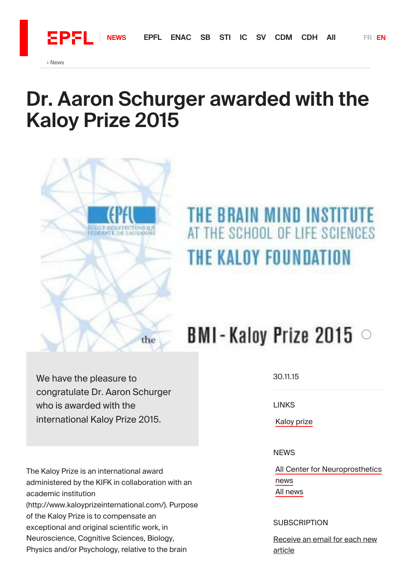$E$ PFL

## Dr. Aaron [Schurger](https://actu.epfl.ch/search/enac/) awarded with the [Kaloy](https://actu.epfl.ch/search/sti/) Prize 2015



## THE BRAIN MIND INSTITUTE THE SCHOOL OF LIFE SCIENCES THE KALOY FOUNDATION

## $BMI$ -Kaloy Prize 2015  $\circ$

We have the pleasure to congratulate Dr. Aaron Schurger who is awarded with the international Kaloy Prize 2015.

The Kaloy Prize is an international award administered by the KIFK in collaboration with an academic institution (http://www.kaloyprizeinternational.com/). Purpose of the Kaloy Prize is to compensate an exceptional and original scientific work, in Neuroscience, Cognitive Sciences, Biology, Physics and/or Psychology, relative to the brain

30.11.15

**LINKS** 

Kaloy prize

**NEWS** 

Kaloy prize<br>NEWS<br>All Center for Neuroprosthetics<br>news All news news

## **SUBSCRIPTION**

[Receive](https://actu.epfl.ch/subscription/news/subscribe/256/) an email for each new article